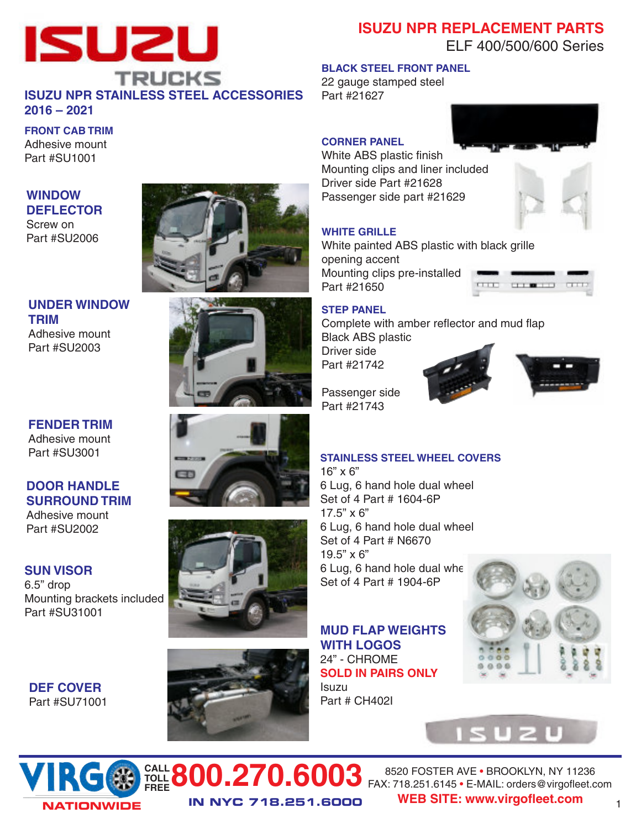

## **ISUZU NPR REPLACEMENT PARTS** ELF 400/500/600 Series

#### **BLACK STEEL FRONT PANEL**

22 gauge stamped steel Part #21627

# **FRONT CAB TRIM**

Adhesive mount Part #SU1001

### **WINDOW DEFLECTOR**

Screw on Part #SU2006

# **UNDER WINDOW TRIM**

Adhesive mount Part #SU2003

### **FENDER TRIM** Adhesive mount Part #SU3001

#### **DOOR HANDLE SURROUND TRIM** Adhesive mount

Part #SU2002

### **SUN VISOR**

**DEF COVER** Part #SU71001

6.5" drop Mounting brackets included Part #SU31001











### **CORNER PANEL**

White ABS plastic finish Mounting clips and liner included Driver side Part #21628 Passenger side part #21629



White painted ABS plastic with black grille opening accent Mounting clips pre-installed Part #21650



### **STEP PANEL**

Complete with amber reflector and mud flap Black ABS plastic Driver side Part #21742



Passenger side Part #21743

### **STAINLESS STEEL WHEEL COVERS**

16" x 6" 6 Lug, 6 hand hole dual wheel Set of 4 Part # 1604-6P 17.5" x 6" 6 Lug, 6 hand hole dual wheel Set of 4 Part # N6670 19.5" x 6"  $6$  Lug,  $6$  hand hole dual whe Set of 4 Part # 1904-6P

**MUD FLAP WEIGHTS WITH LOGOS** 24" - CHROME **SOLD IN PAIRS ONLY** Isuzu Part # CH402I







**CALL 800.270.6003** 8520 FOSTER AVE • BROOKLYN, NY 11236<br>FREE **800.270.6003** FAX: 718.251.6145 • E-MAIL: orders@virgofleet.c **IN NYC 718.251.6000** FAX: 718.251.6145 • E-MAIL: orders@virgofleet.com **WEB SITE: www.virgofleet.com**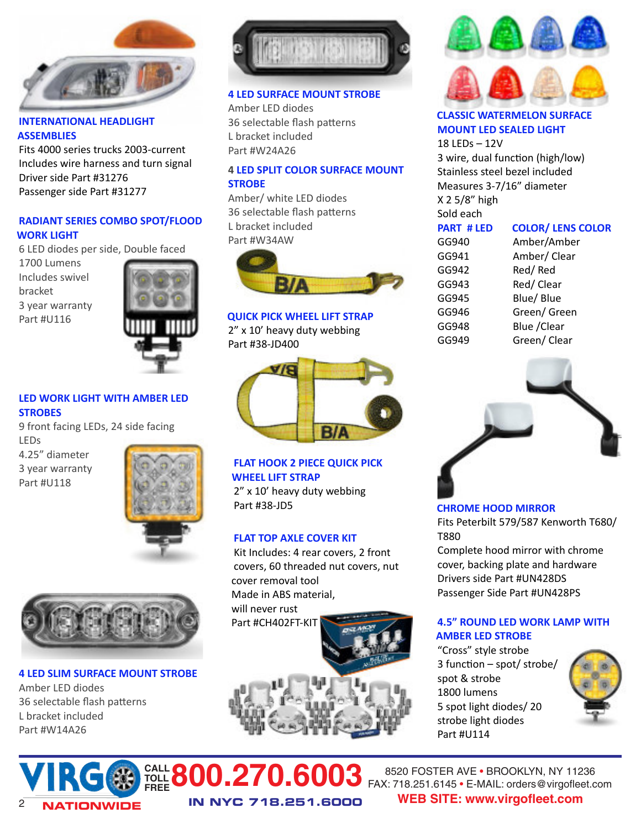

#### **INTERNATIONAL HEADLIGHT ASSEMBLIES**

Fits 4000 series trucks 2003-current Includes wire harness and turn signal Driver side Part #31276 Passenger side Part #31277

#### **RADIANT SERIES COMBO SPOT/FLOOD WORK LIGHT**

6 LED diodes per side, Double faced

1700 Lumens Includes swivel bracket 3 year warranty Part #U116



#### **LED WORK LIGHT WITH AMBER LED STROBES**

9 front facing LEDs, 24 side facing LEDs

4.25" diameter 3 year warranty Part #U118





#### **4 LED SLIM SURFACE MOUNT STROBE**

Amber LED diodes 36 selectable flash patterns L bracket included Part #W14A26



#### **4 LED SURFACE MOUNT STROBE**

Amber LED diodes 36 selectable flash patterns L bracket included Part #W24A26

### **4 LED SPLIT COLOR SURFACE MOUNT STROBE**

Amber/ white LED diodes 36 selectable flash patterns L bracket included Part #W34AW



#### **QUICK PICK WHEEL LIFT STRAP**

2" x 10' heavy duty webbing Part #38-JD400



## **FLAT HOOK 2 PIECE QUICK PICK WHEEL LIFT STRAP**

2" x 10' heavy duty webbing Part #38-JD5

#### **FLAT TOP AXLE COVER KIT**

Kit Includes: 4 rear covers, 2 front covers, 60 threaded nut covers, nut cover removal tool Made in ABS material, will never rust Part #CH402FT-KIT





#### **CLASSIC WATERMELON SURFACE MOUNT LED SEALED LIGHT**

18 LEDs – 12V 3 wire, dual function (high/low) Stainless steel bezel included Measures 3-7/16" diameter X 2 5/8" high Sold each

| <b>PART #LED</b> | <b>COLOR/ LENS COLOR</b> |
|------------------|--------------------------|
| GG940            | Amber/Amber              |
| GG941            | Amber/ Clear             |
| GG942            | Red/Red                  |
| GG943            | Red/Clear                |
| GG945            | Blue/ Blue               |
| GG946            | Green/ Green             |
| GG948            | Blue / Clear             |
| GG949            | Green/ Clear             |



#### **CHROME HOOD MIRROR**

Fits Peterbilt 579/587 Kenworth T680/ T880

Complete hood mirror with chrome cover, backing plate and hardware Drivers side Part #UN428DS Passenger Side Part #UN428PS

### **4.5" ROUND LED WORK LAMP WITH AMBER LED STROBE**

"Cross" style strobe  $3$  function – spot/ strobe/ spot & strobe 1800 lumens 5 spot light diodes/ 20 strobe light diodes Part #U114





**IN NYC 718.251.6000** 8520 FOSTER AVE • BROOKLYN, NY 11236 FAX: 718.251.6145 • E-MAIL: orders@virgofleet.com <sup>2</sup> **WEB SITE: www.virgofleet.com**

**CALL FREE800.270.6003**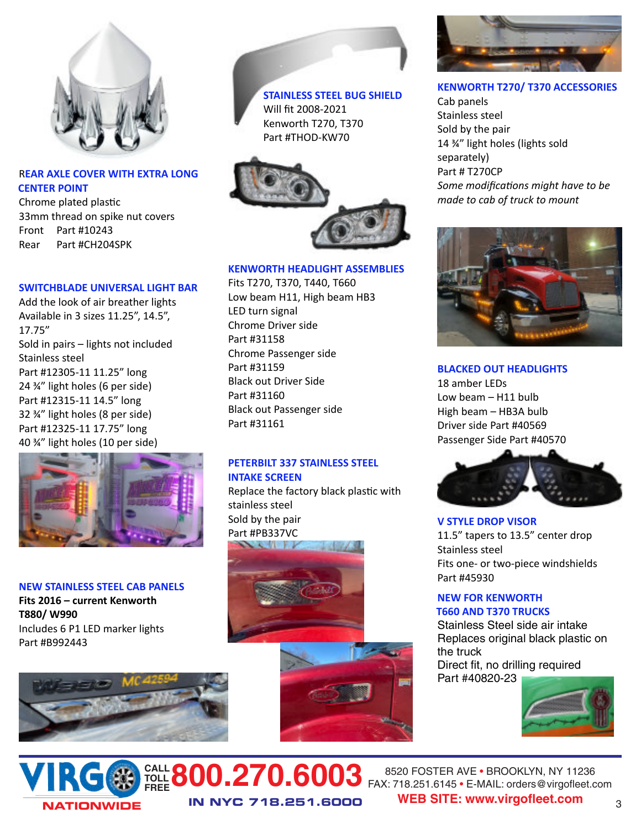

#### R**EAR AXLE COVER WITH EXTRA LONG CENTER POINT**

Chrome plated plastic 33mm thread on spike nut covers Front Part #10243 Rear Part #CH204SPK

#### **SWITCHBLADE UNIVERSAL LIGHT BAR**

Add the look of air breather lights Available in 3 sizes 11.25", 14.5", 17.75" Sold in pairs – lights not included Stainless steel Part #12305-11 11.25" long 24 ¾" light holes (6 per side) Part #12315-11 14.5" long 32 ¾" light holes (8 per side) Part #12325-11 17.75" long 40 ¾" light holes (10 per side)



#### **NEW STAINLESS STEEL CAB PANELS**

**Fits 2016 – current Kenworth T880/ W990** Includes 6 P1 LED marker lights Part #B992443





**STAINLESS STEEL BUG SHIELD** Will fit 2008-2021 Kenworth T270, T370 Part #THOD-KW70



#### **KENWORTH HEADLIGHT ASSEMBLIES**

Fits T270, T370, T440, T660 Low beam H11, High beam HB3 LED turn signal Chrome Driver side Part #31158 Chrome Passenger side Part #31159 Black out Driver Side Part #31160 Black out Passenger side Part #31161

### **PETERBILT 337 STAINLESS STEEL INTAKE SCREEN**

Replace the factory black plastic with stainless steel Sold by the pair Part #PB337VC 



**IN NYC 718.251.6000**





#### **KENWORTH T270/ T370 ACCESSORIES**

Cab panels Stainless steel Sold by the pair 14 ¾" light holes (lights sold separately) Part # T270CP Some modifications might have to be *made to cab of truck to mount*



#### **BLACKED OUT HEADLIGHTS**

18 amber LEDs Low beam – H11 bulb High beam – HB3A bulb Driver side Part #40569 Passenger Side Part #40570



**V STYLE DROP VISOR** 11.5" tapers to 13.5" center drop Stainless steel Fits one- or two-piece windshields Part #45930

#### **NEW FOR KENWORTH T660 AND T370 TRUCKS**

Stainless Steel side air intake Replaces original black plastic on the truck Direct fit, no drilling required Part #40820-23



### **CALL 800.270.6003** 8520 FOSTER AVE • BROOKLYN, NY 11236<br>FREE **800.270.6003** FAX: 718.251.6145 • E-MAIL: orders@virgofleet.c FAX: 718.251.6145 • E-MAIL: orders@virgofleet.com **WEB SITE: www.virgofleet.com**